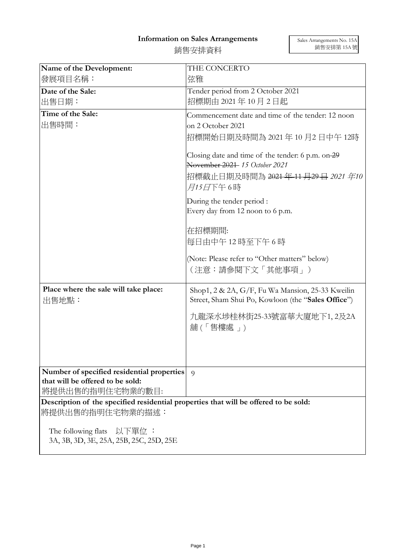## **Information on Sales Arrangements**

| 銷售安排資料 |  |
|--------|--|
|        |  |

| Name of the Development:                                                                                  | THE CONCERTO                                                                                                                                                    |
|-----------------------------------------------------------------------------------------------------------|-----------------------------------------------------------------------------------------------------------------------------------------------------------------|
| 發展項目名稱:                                                                                                   | 弦雅                                                                                                                                                              |
| Date of the Sale:                                                                                         | Tender period from 2 October 2021                                                                                                                               |
| 出售日期:                                                                                                     | 招標期由 2021年10月2日起                                                                                                                                                |
| Time of the Sale:                                                                                         | Commencement date and time of the tender: 12 noon                                                                                                               |
| 出售時間:                                                                                                     | on 2 October 2021                                                                                                                                               |
|                                                                                                           | 招標開始日期及時間為 2021 年 10 月2 日中午 12時                                                                                                                                 |
|                                                                                                           | Closing date and time of the tender: 6 p.m. on-29<br>November 2021-15 October 2021<br>招標截止日期及時間為 <del>2021 年 11 月29 日</del> <i>2021 年10</i><br><i>月15日</i> 下午6時 |
|                                                                                                           |                                                                                                                                                                 |
|                                                                                                           | During the tender period :<br>Every day from 12 noon to 6 p.m.                                                                                                  |
|                                                                                                           | 在招標期間:<br>每日由中午12時至下午6時                                                                                                                                         |
|                                                                                                           | (Note: Please refer to "Other matters" below)<br>(注意:請參閱下文「其他事項」)                                                                                               |
| Place where the sale will take place:<br>出售地點:                                                            | Shop1, 2 & 2A, G/F, Fu Wa Mansion, 25-33 Kweilin<br>Street, Sham Shui Po, Kowloon (the "Sales Office")                                                          |
|                                                                                                           | 九龍深水埗桂林街25-33號富華大廈地下1,2及2A<br>舖(「售樓處 」)                                                                                                                         |
|                                                                                                           |                                                                                                                                                                 |
| Number of specified residential properties                                                                | $\Omega$                                                                                                                                                        |
| that will be offered to be sold:                                                                          |                                                                                                                                                                 |
| 將提供出售的指明住宅物業的數目:                                                                                          |                                                                                                                                                                 |
| Description of the specified residential properties that will be offered to be sold:<br> 將提供出售的指明住宅物業的描述: |                                                                                                                                                                 |
| The following flats<br>- 以下單位 :<br>3A, 3B, 3D, 3E, 25A, 25B, 25C, 25D, 25E                                |                                                                                                                                                                 |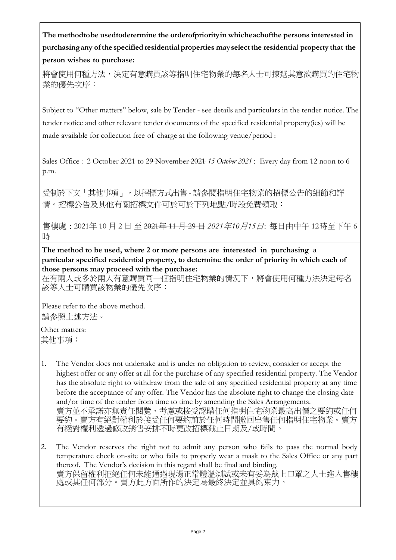**The methodtobe usedtodetermine the orderofpriorityin whicheachofthe persons interested in purchasingany ofthe specified residential properties mayselectthe residential property that the person wishes to purchase:**

將會使用何種方法,決定有意購買該等指明住宅物業的每名人士可揀選其意欲購買的住宅物 業的優先次序:

Subject to "Other matters" below, sale by Tender - see details and particulars in the tender notice. The tender notice and other relevant tender documents of the specified residential property(ies) will be made available for collection free of charge at the following venue/period :

Sales Office : 2 October 2021 to 29 November 2021 15 October 2021 : Every day from 12 noon to 6 p.m.

受制於下文「其他事項」,以招標方式出售 - 請參閱指明住宅物業的招標公告的細節和詳 情。招標公告及其他有關招標文件可於可於下列地點/時段免費領取:

售樓處 : 2021年 10 月 2 日 至 2021年 11 月 29 日 *2021*年*10*月*15*日: 每日由中午 12時至下午 6 時

**The method to be used, where 2 or more persons are interested in purchasing a particular specified residential property, to determine the order of priority in which each of those persons may proceed with the purchase:**

在有兩人或多於兩人有意購買同一個指明住宅物業的情況下,將會使用何種方法決定每名 該等人士可購買該物業的優先次序:

Please refer to the above method. 請參照上述方法。

Other matters: 其他事項:

- 1. The Vendor does not undertake and is under no obligation to review, consider or accept the highest offer or any offer at all for the purchase of any specified residential property. The Vendor has the absolute right to withdraw from the sale of any specified residential property at any time before the acceptance of any offer. The Vendor has the absolute right to change the closing date and/or time of the tender from time to time by amending the Sales Arrangements. 賣方並不承諾亦無責任閱覽、考慮或接受認購任何指明住宅物業最高出價之要約或任何 要約。賣方有絕對權利於接受任何要約前於任何時間撤回出售任何指明住宅物業。賣方 有絕對權利透過修改銷售安排不時更改招標截止日期及/或時間。
- 2. The Vendor reserves the right not to admit any person who fails to pass the normal body temperature check on-site or who fails to properly wear a mask to the Sales Office or any part thereof. The Vendor's decision in this regard shall be final and binding. 賣方保留權利拒絕任何未能通過現場正常體溫測試或未有妥為戴上口罩之人士進入售樓 處或其任何部分。賣方此方面所作的決定為最終決定並具約束力。